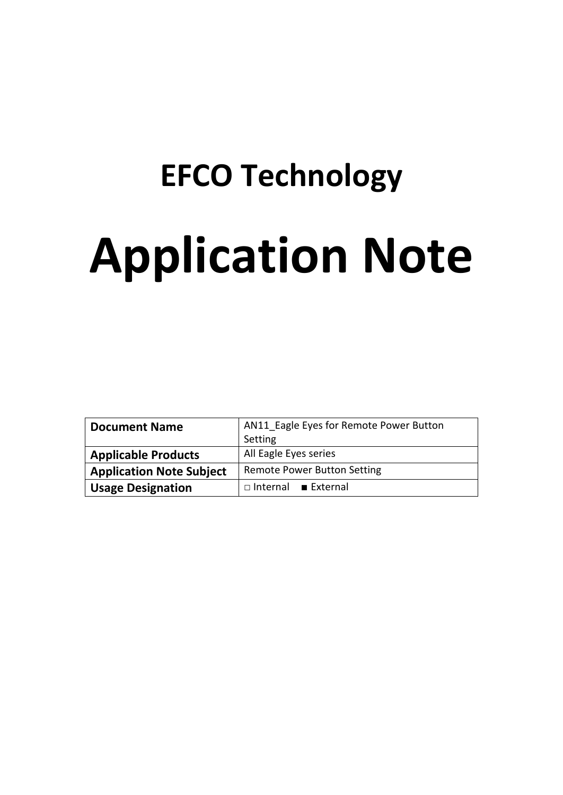# **EFCO Technology Application Note**

| <b>Document Name</b>            | AN11 Eagle Eyes for Remote Power Button<br>Setting |  |  |
|---------------------------------|----------------------------------------------------|--|--|
| <b>Applicable Products</b>      | All Eagle Eyes series                              |  |  |
| <b>Application Note Subject</b> | <b>Remote Power Button Setting</b>                 |  |  |
| <b>Usage Designation</b>        | $\Box$ Internal External                           |  |  |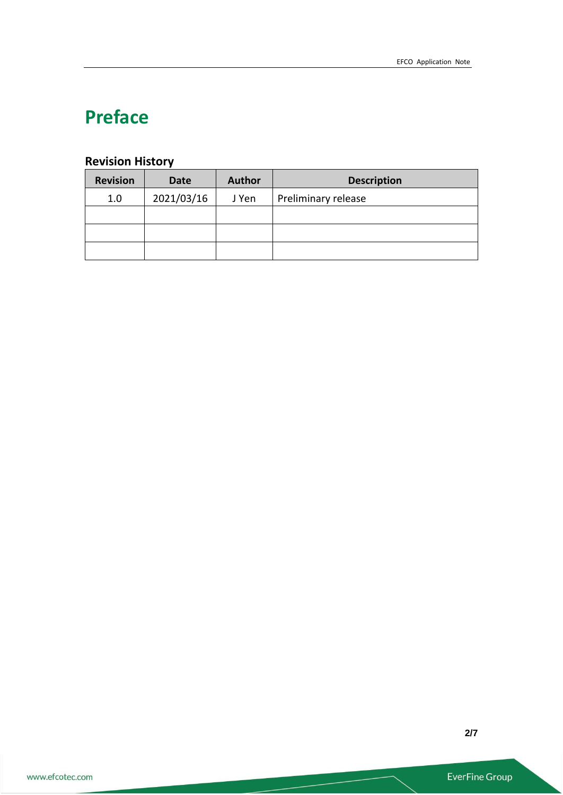# **Preface**

# **Revision History**

| <b>Revision</b> | <b>Date</b> | <b>Author</b> | <b>Description</b>  |
|-----------------|-------------|---------------|---------------------|
| 1.0             | 2021/03/16  | J Yen         | Preliminary release |
|                 |             |               |                     |
|                 |             |               |                     |
|                 |             |               |                     |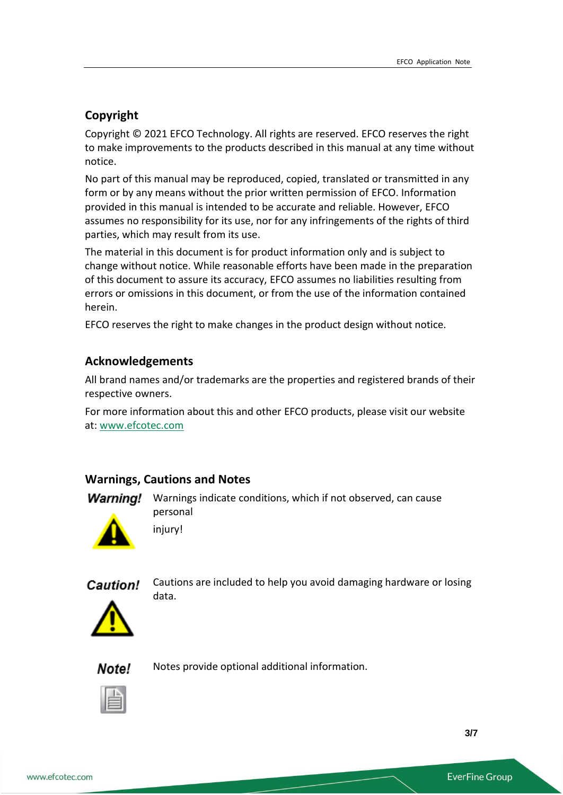# **Copyright**

Copyright © 2021 EFCO Technology. All rights are reserved. EFCO reserves the right to make improvements to the products described in this manual at any time without notice.

No part of this manual may be reproduced, copied, translated or transmitted in any form or by any means without the prior written permission of EFCO. Information provided in this manual is intended to be accurate and reliable. However, EFCO assumes no responsibility for its use, nor for any infringements of the rights of third parties, which may result from its use.

The material in this document is for product information only and is subject to change without notice. While reasonable efforts have been made in the preparation of this document to assure its accuracy, EFCO assumes no liabilities resulting from errors or omissions in this document, or from the use of the information contained herein.

EFCO reserves the right to make changes in the product design without notice.

## **Acknowledgements**

All brand names and/or trademarks are the properties and registered brands of their respective owners.

For more information about this and other EFCO products, please visit our website at: [www.efcotec.com](file:///C:/Users/PattyWu/Documents/Manual/DMCT/www.efcotec.com)

# **Warnings, Cautions and Notes**

**Warning!** Warnings indicate conditions, which if not observed, can cause personal



injury!



Cautions are included to help you avoid damaging hardware or losing data.





Notes provide optional additional information.

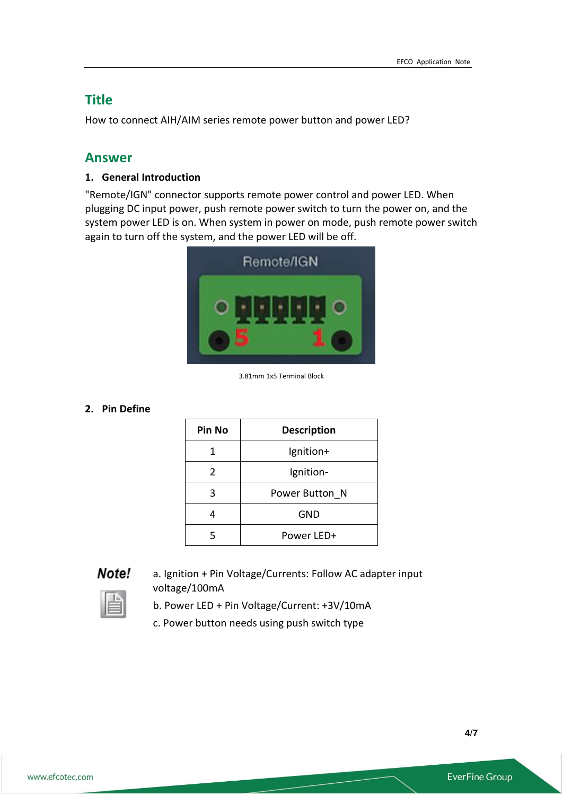# **Title**

How to connect AIH/AIM series remote power button and power LED?

# **Answer**

#### **1. General Introduction**

"Remote/IGN" connector supports remote power control and power LED. When plugging DC input power, push remote power switch to turn the power on, and the system power LED is on. When system in power on mode, push remote power switch again to turn off the system, and the power LED will be off.



3.81mm 1x5 Terminal Block

#### **2. Pin Define**

| Pin No        | <b>Description</b> |
|---------------|--------------------|
| 1             | lgnition+          |
| $\mathcal{P}$ | Ignition-          |
| 3             | Power Button N     |
|               | GND                |
|               | Power LED+         |

#### Note!

a. Ignition + Pin Voltage/Currents: Follow AC adapter input voltage/100mA

- b. Power LED + Pin Voltage/Current: +3V/10mA
- c. Power button needs using push switch type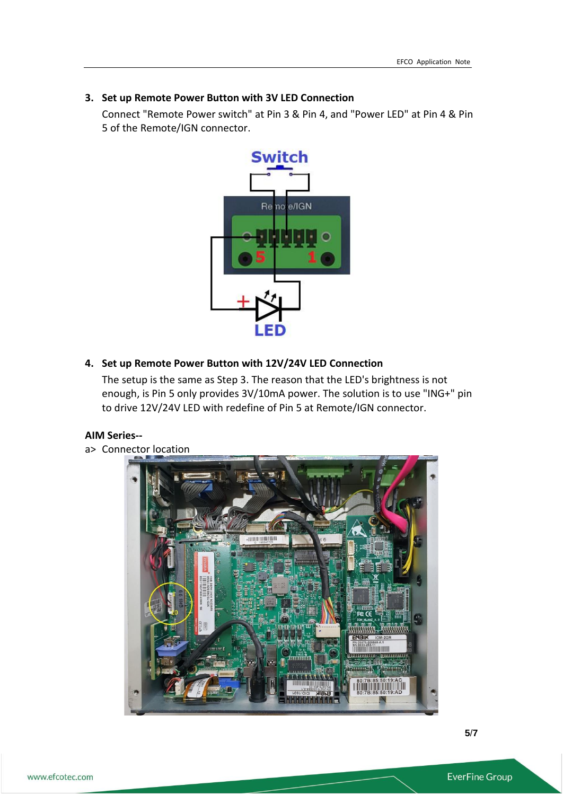#### **3. Set up Remote Power Button with 3V LED Connection**

Connect "Remote Power switch" at Pin 3 & Pin 4, and "Power LED" at Pin 4 & Pin 5 of the Remote/IGN connector.



## **4. Set up Remote Power Button with 12V/24V LED Connection**

The setup is the same as Step 3. The reason that the LED's brightness is not enough, is Pin 5 only provides 3V/10mA power. The solution is to use "ING+" pin to drive 12V/24V LED with redefine of Pin 5 at Remote/IGN connector.

#### **AIM Series--**

a> Connector location

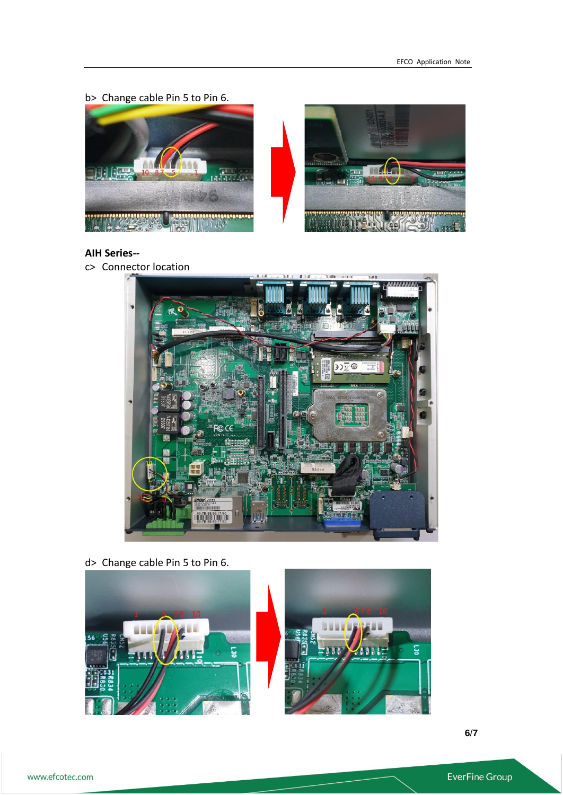b> Change cable Pin 5 to Pin 6.





#### **AIH Series--**

c> Connector location



d> Change cable Pin 5 to Pin 6.